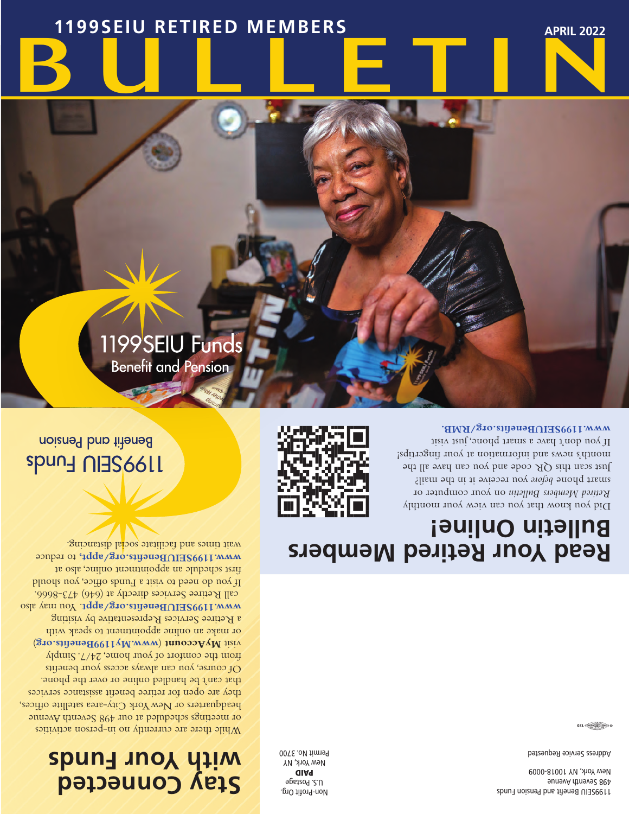1199SEIU Benefit and Pension Funds 498 Seventh Avenue New York, NY 10018-0009

Address Service Requested

 $@{\overbrace{{\overbrace{{\overbrace{{\overline{{\rm{Cov}}}({\overline{{\rm{Cov}}})}}^2\!\!\!\!{\overline{{\rm{Cov}}}}}}}}}}@{1}$ 

Non-Profit Org. U.S. Postage PAID New York, NY Permit No. 3700

## **Stay Connected with Your Funds**

While there are currently no in-person activities or meetings scheduled at our 498 Seventh Avenue headquarters or New York City-area satellite offices, they are open for retiree benefit assistance services that can't be handled online or over the phone. Of course, you can always access your benefits from the comfort of your home, 24/7. Simply ) **www.My1199Benefits.org** ( **MyAccount** visit or make an online appointment to speak with a Retiree Services Representative by visiting www.1199SEIUBenefits.org/appt<sub>1990</sub> value call Retiree Services directly at (646) 473-8666. If you do need to visit a Funds office, you should first schedule an appointment online, also at to reduce **www.1199SEIUBenefits.org/appt,** wait times and facilitate social distancing.

1199SEIU Funds

**Benefit and Pension** 

### **Read Your Retired Members Bulletin Online!**

Did you know that you can view your monthly on your computer or *Retired Members Bulletin* aust byoue pelone *soor* and it in the mail? Just scan this  $QR$  code and you can have all the month's news and increase and increase in the setting is detailed If you don't have a smart phone, just visit **www.1199SEIUBenefits.org/RMB.**



noizned ban titensd **SPUN HUMS** 

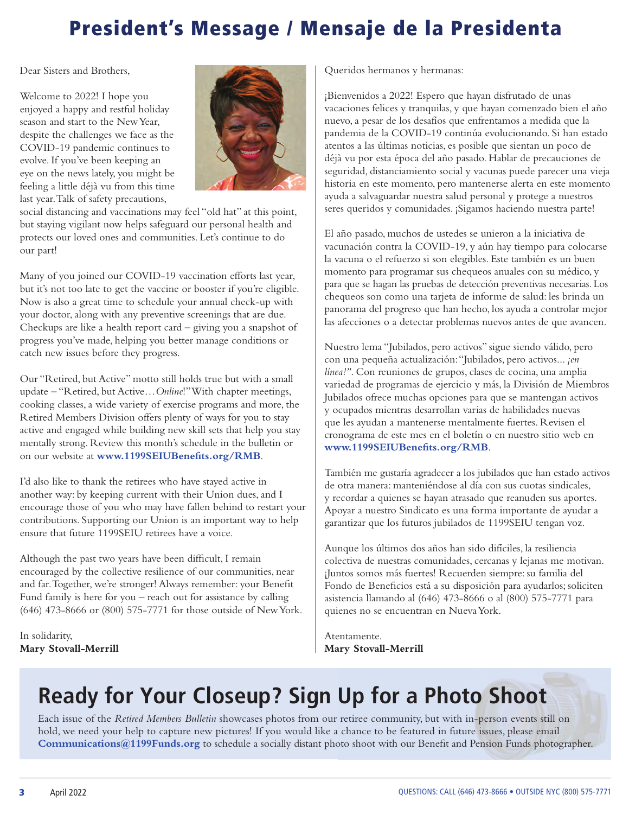### President's Message / Mensaje de la Presidenta

Dear Sisters and Brothers,

Welcome to 2022! I hope you enjoyed a happy and restful holiday season and start to the New Year, despite the challenges we face as the COVID-19 pandemic continues to evolve. If you've been keeping an eye on the news lately, you might be feeling a little déjà vu from this time last year. Talk of safety precautions,



social distancing and vaccinations may feel "old hat" at this point, but staying vigilant now helps safeguard our personal health and protects our loved ones and communities. Let's continue to do our part!

Many of you joined our COVID-19 vaccination efforts last year, but it's not too late to get the vaccine or booster if you're eligible. Now is also a great time to schedule your annual check-up with your doctor, along with any preventive screenings that are due. Checkups are like a health report card – giving you a snapshot of progress you've made, helping you better manage conditions or catch new issues before they progress.

Our "Retired, but Active" motto still holds true but with a small update – "Retired, but Active…*Online*!" With chapter meetings, cooking classes, a wide variety of exercise programs and more, the Retired Members Division offers plenty of ways for you to stay active and engaged while building new skill sets that help you stay mentally strong. Review this month's schedule in the bulletin or on our website at **www.1199SEIUBenefits.org/RMB**.

I'd also like to thank the retirees who have stayed active in another way: by keeping current with their Union dues, and I encourage those of you who may have fallen behind to restart your contributions. Supporting our Union is an important way to help ensure that future 1199SEIU retirees have a voice.

Although the past two years have been difficult, I remain encouraged by the collective resilience of our communities, near and far. Together, we're stronger! Always remember: your Benefit Fund family is here for you – reach out for assistance by calling (646) 473-8666 or (800) 575-7771 for those outside of New York.

In solidarity, **Mary Stovall-Merrill** Queridos hermanos y hermanas:

¡Bienvenidos a 2022! Espero que hayan disfrutado de unas vacaciones felices y tranquilas, y que hayan comenzado bien el año nuevo, a pesar de los desafíos que enfrentamos a medida que la pandemia de la COVID-19 continúa evolucionando. Si han estado atentos a las últimas noticias, es posible que sientan un poco de déjà vu por esta época del año pasado. Hablar de precauciones de seguridad, distanciamiento social y vacunas puede parecer una vieja historia en este momento, pero mantenerse alerta en este momento ayuda a salvaguardar nuestra salud personal y protege a nuestros seres queridos y comunidades. ¡Sigamos haciendo nuestra parte!

El año pasado, muchos de ustedes se unieron a la iniciativa de vacunación contra la COVID-19, y aún hay tiempo para colocarse la vacuna o el refuerzo si son elegibles. Este también es un buen momento para programar sus chequeos anuales con su médico, y para que se hagan las pruebas de detección preventivas necesarias. Los chequeos son como una tarjeta de informe de salud: les brinda un panorama del progreso que han hecho, los ayuda a controlar mejor las afecciones o a detectar problemas nuevos antes de que avancen.

Nuestro lema "Jubilados, pero activos" sigue siendo válido, pero con una pequeña actualización: "Jubilados, pero activos... *¡en línea!"*. Con reuniones de grupos, clases de cocina, una amplia variedad de programas de ejercicio y más, la División de Miembros Jubilados ofrece muchas opciones para que se mantengan activos y ocupados mientras desarrollan varias de habilidades nuevas que les ayudan a mantenerse mentalmente fuertes. Revisen el cronograma de este mes en el boletín o en nuestro sitio web en **www.1199SEIUBenefits.org/RMB**.

También me gustaría agradecer a los jubilados que han estado activos de otra manera: manteniéndose al día con sus cuotas sindicales, y recordar a quienes se hayan atrasado que reanuden sus aportes. Apoyar a nuestro Sindicato es una forma importante de ayudar a garantizar que los futuros jubilados de 1199SEIU tengan voz.

Aunque los últimos dos años han sido difíciles, la resiliencia colectiva de nuestras comunidades, cercanas y lejanas me motivan. ¡Juntos somos más fuertes! Recuerden siempre: su familia del Fondo de Beneficios está a su disposición para ayudarlos; soliciten asistencia llamando al (646) 473-8666 o al (800) 575-7771 para quienes no se encuentran en Nueva York.

Atentamente. **Mary Stovall-Merrill**

# **Ready for Your Closeup? Sign Up for a Photo Shoot**

Each issue of the *Retired Members Bulletin* showcases photos from our retiree community, but with in-person events still on hold, we need your help to capture new pictures! If you would like a chance to be featured in future issues, please email **Communications@1199Funds.org** to schedule a socially distant photo shoot with our Benefit and Pension Funds photographer.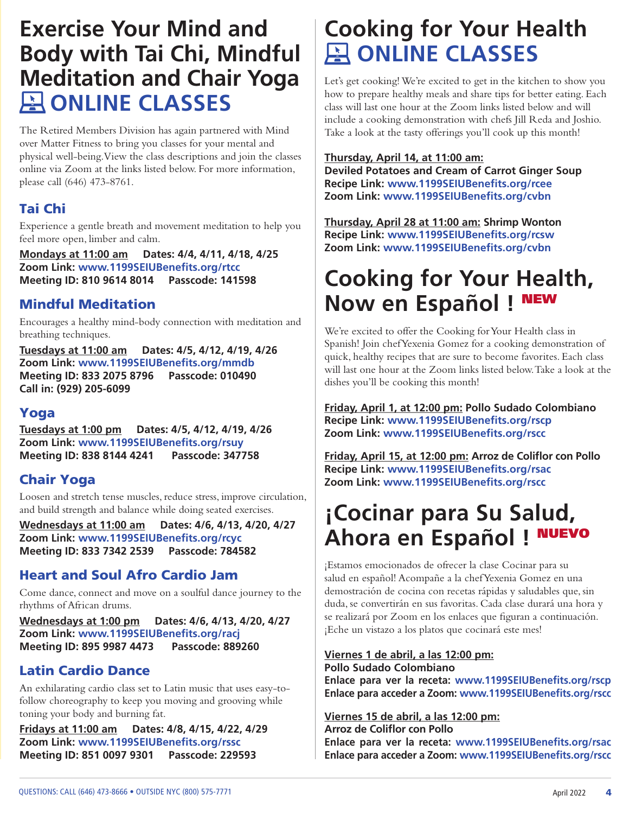### **Exercise Your Mind and Body with Tai Chi, Mindful Meditation and Chair Yoga A ONLINE CLASSES**

The Retired Members Division has again partnered with Mind over Matter Fitness to bring you classes for your mental and physical well-being. View the class descriptions and join the classes online via Zoom at the links listed below. For more information, please call (646) 473-8761.

### Tai Chi

Experience a gentle breath and movement meditation to help you feel more open, limber and calm.

**Mondays at 11:00 am Dates: 4/4, 4/11, 4/18, 4/25 Zoom Link: www.1199SEIUBenefits.org/rtcc Meeting ID: 810 9614 8014 Passcode: 141598**

### Mindful Meditation

Encourages a healthy mind-body connection with meditation and breathing techniques.

**Tuesdays at 11:00 am Dates: 4/5, 4/12, 4/19, 4/26 Zoom Link: www.1199SEIUBenefits.org/mmdb Meeting ID: 833 2075 8796 Passcode: 010490 Call in: (929) 205-6099** 

### Yoga

**Tuesdays at 1:00 pm Dates: 4/5, 4/12, 4/19, 4/26 Zoom Link: www.1199SEIUBenefits.org/rsuy Meeting ID: 838 8144 4241 Passcode: 347758**

### Chair Yoga

Loosen and stretch tense muscles, reduce stress, improve circulation, and build strength and balance while doing seated exercises.

**Wednesdays at 11:00 am Dates: 4/6, 4/13, 4/20, 4/27 Zoom Link: www.1199SEIUBenefits.org/rcyc Meeting ID: 833 7342 2539 Passcode: 784582**

### Heart and Soul Afro Cardio Jam

Come dance, connect and move on a soulful dance journey to the rhythms of African drums.

**Wednesdays at 1:00 pm Dates: 4/6, 4/13, 4/20, 4/27 Zoom Link: www.1199SEIUBenefits.org/racj Meeting ID: 895 9987 4473 Passcode: 889260**

### Latin Cardio Dance

An exhilarating cardio class set to Latin music that uses easy-tofollow choreography to keep you moving and grooving while toning your body and burning fat.

**Fridays at 11:00 am Dates: 4/8, 4/15, 4/22, 4/29 Zoom Link: www.1199SEIUBenefits.org/rssc Meeting ID: 851 0097 9301 Passcode: 229593**

# **Cooking for Your Health A ONLINE CLASSES**

Let's get cooking! We're excited to get in the kitchen to show you how to prepare healthy meals and share tips for better eating. Each class will last one hour at the Zoom links listed below and will include a cooking demonstration with chefs Jill Reda and Joshio. Take a look at the tasty offerings you'll cook up this month!

#### **Thursday, April 14, at 11:00 am:**

**Deviled Potatoes and Cream of Carrot Ginger Soup Recipe Link: www.1199SEIUBenefits.org/rcee Zoom Link: www.1199SEIUBenefits.org/cvbn** 

**Thursday, April 28 at 11:00 am: Shrimp Wonton Recipe Link: www.1199SEIUBenefits.org/rcsw Zoom Link: www.1199SEIUBenefits.org/cvbn** 

# **Cooking for Your Health, Now en Español !** NEW

We're excited to offer the Cooking for Your Health class in Spanish! Join chef Yexenia Gomez for a cooking demonstration of quick, healthy recipes that are sure to become favorites. Each class will last one hour at the Zoom links listed below. Take a look at the dishes you'll be cooking this month!

**Friday, April 1, at 12:00 pm: Pollo Sudado Colombiano Recipe Link: www.1199SEIUBenefits.org/rscp Zoom Link: www.1199SEIUBenefits.org/rscc** 

**Friday, April 15, at 12:00 pm: Arroz de Coliflor con Pollo Recipe Link: www.1199SEIUBenefits.org/rsac Zoom Link: www.1199SEIUBenefits.org/rscc** 

## **¡Cocinar para Su Salud, Ahora en Español !**

¡Estamos emocionados de ofrecer la clase Cocinar para su salud en español! Acompañe a la chef Yexenia Gomez en una demostración de cocina con recetas rápidas y saludables que, sin duda, se convertirán en sus favoritas. Cada clase durará una hora y se realizará por Zoom en los enlaces que figuran a continuación. ¡Eche un vistazo a los platos que cocinará este mes!

#### **Viernes 1 de abril, a las 12:00 pm: Pollo Sudado Colombiano**

**Enlace para ver la receta: www.1199SEIUBenefits.org/rscp Enlace para acceder a Zoom: www.1199SEIUBenefits.org/rscc**

### **Viernes 15 de abril, a las 12:00 pm:**

**Arroz de Coliflor con Pollo Enlace para ver la receta: www.1199SEIUBenefits.org/rsac Enlace para acceder a Zoom: www.1199SEIUBenefits.org/rscc**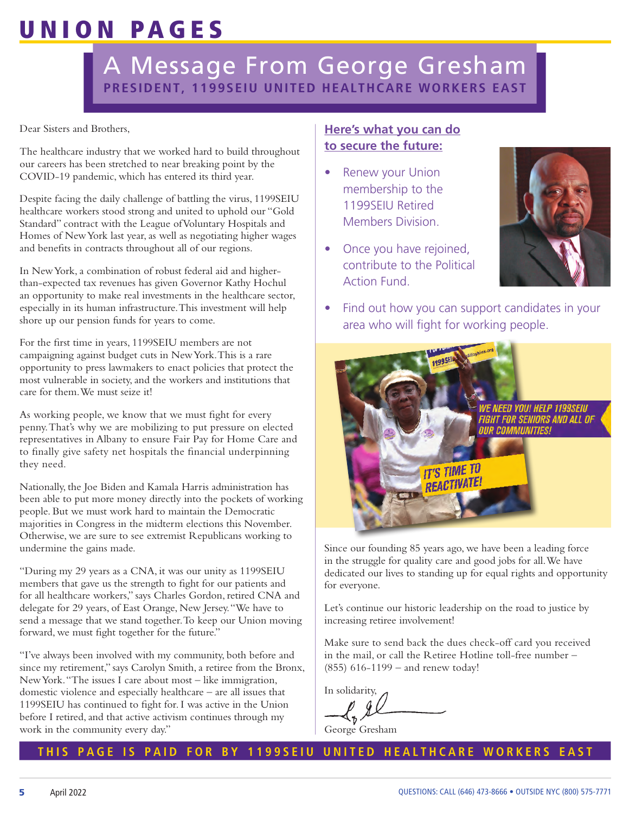# UNION PAGES

### A Message From George Gresham **PRESIDENT, 1199SEIU UNITED HEALTHCARE WORKERS EAST**

Dear Sisters and Brothers,

The healthcare industry that we worked hard to build throughout our careers has been stretched to near breaking point by the COVID-19 pandemic, which has entered its third year.

Despite facing the daily challenge of battling the virus, 1199SEIU healthcare workers stood strong and united to uphold our "Gold Standard" contract with the League of Voluntary Hospitals and Homes of New York last year, as well as negotiating higher wages and benefits in contracts throughout all of our regions.

In New York, a combination of robust federal aid and higherthan-expected tax revenues has given Governor Kathy Hochul an opportunity to make real investments in the healthcare sector, especially in its human infrastructure. This investment will help shore up our pension funds for years to come.

For the first time in years, 1199SEIU members are not campaigning against budget cuts in New York. This is a rare opportunity to press lawmakers to enact policies that protect the most vulnerable in society, and the workers and institutions that care for them. We must seize it!

As working people, we know that we must fight for every penny. That's why we are mobilizing to put pressure on elected representatives in Albany to ensure Fair Pay for Home Care and to finally give safety net hospitals the financial underpinning they need.

Nationally, the Joe Biden and Kamala Harris administration has been able to put more money directly into the pockets of working people. But we must work hard to maintain the Democratic majorities in Congress in the midterm elections this November. Otherwise, we are sure to see extremist Republicans working to undermine the gains made.

"During my 29 years as a CNA, it was our unity as 1199SEIU members that gave us the strength to fight for our patients and for all healthcare workers," says Charles Gordon, retired CNA and delegate for 29 years, of East Orange, New Jersey. "We have to send a message that we stand together. To keep our Union moving forward, we must fight together for the future."

"I've always been involved with my community, both before and since my retirement," says Carolyn Smith, a retiree from the Bronx, New York. "The issues I care about most – like immigration, domestic violence and especially healthcare – are all issues that 1199SEIU has continued to fight for. I was active in the Union before I retired, and that active activism continues through my work in the community every day."

### **Here's what you can do to secure the future:**

- **Renew your Union**  membership to the 1199SEIU Retired Members Division.
- Once you have rejoined, contribute to the Political Action Fund.



• Find out how you can support candidates in your area who will fight for working people.



Since our founding 85 years ago, we have been a leading force in the struggle for quality care and good jobs for all. We have dedicated our lives to standing up for equal rights and opportunity for everyone.

Let's continue our historic leadership on the road to justice by increasing retiree involvement!

Make sure to send back the dues check-off card you received in the mail, or call the Retiree Hotline toll-free number – (855) 616-1199 – and renew today!

In solidarity,

George Gresham

### **THIS PAGE IS PAID FOR BY 1199SEIU UNITED HEALTHCARE WORKERS EAST**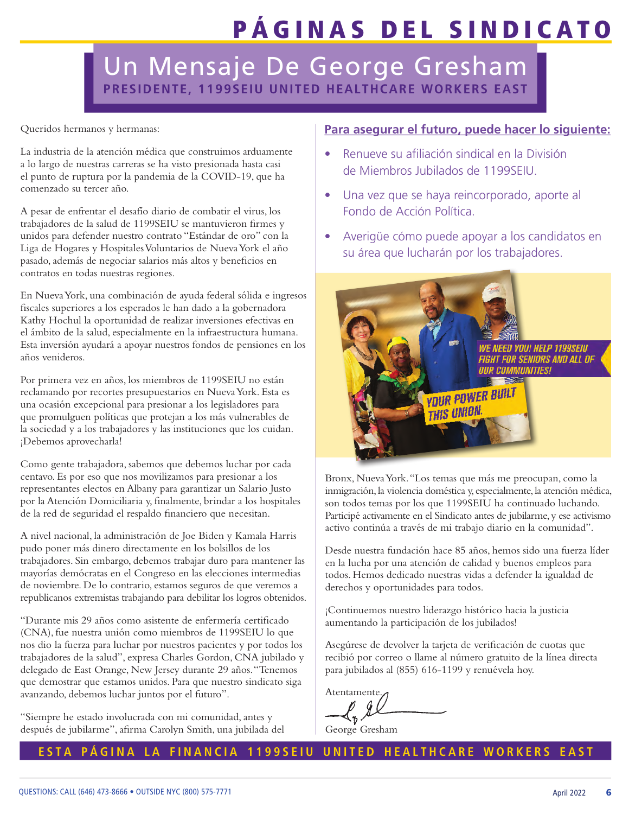# PÁGINAS DEL SINDICATO

### Un Mensaje De George Gresham **PRESIDENTE, 1199SEIU UNITED HEALTHCARE WORKERS EAST**

Queridos hermanos y hermanas:

La industria de la atención médica que construimos arduamente a lo largo de nuestras carreras se ha visto presionada hasta casi el punto de ruptura por la pandemia de la COVID-19, que ha comenzado su tercer año.

A pesar de enfrentar el desafío diario de combatir el virus, los trabajadores de la salud de 1199SEIU se mantuvieron firmes y unidos para defender nuestro contrato "Estándar de oro" con la Liga de Hogares y Hospitales Voluntarios de Nueva York el año pasado, además de negociar salarios más altos y beneficios en contratos en todas nuestras regiones.

En Nueva York, una combinación de ayuda federal sólida e ingresos fiscales superiores a los esperados le han dado a la gobernadora Kathy Hochul la oportunidad de realizar inversiones efectivas en el ámbito de la salud, especialmente en la infraestructura humana. Esta inversión ayudará a apoyar nuestros fondos de pensiones en los años venideros.

Por primera vez en años, los miembros de 1199SEIU no están reclamando por recortes presupuestarios en Nueva York. Esta es una ocasión excepcional para presionar a los legisladores para que promulguen políticas que protejan a los más vulnerables de la sociedad y a los trabajadores y las instituciones que los cuidan. ¡Debemos aprovecharla!

Como gente trabajadora, sabemos que debemos luchar por cada centavo. Es por eso que nos movilizamos para presionar a los representantes electos en Albany para garantizar un Salario Justo por la Atención Domiciliaria y, finalmente, brindar a los hospitales de la red de seguridad el respaldo financiero que necesitan.

A nivel nacional, la administración de Joe Biden y Kamala Harris pudo poner más dinero directamente en los bolsillos de los trabajadores. Sin embargo, debemos trabajar duro para mantener las mayorías demócratas en el Congreso en las elecciones intermedias de noviembre. De lo contrario, estamos seguros de que veremos a republicanos extremistas trabajando para debilitar los logros obtenidos.

"Durante mis 29 años como asistente de enfermería certificado (CNA), fue nuestra unión como miembros de 1199SEIU lo que nos dio la fuerza para luchar por nuestros pacientes y por todos los trabajadores de la salud", expresa Charles Gordon, CNA jubilado y delegado de East Orange, New Jersey durante 29 años. "Tenemos que demostrar que estamos unidos. Para que nuestro sindicato siga avanzando, debemos luchar juntos por el futuro".

"Siempre he estado involucrada con mi comunidad, antes y después de jubilarme", afirma Carolyn Smith, una jubilada del

#### **Para asegurar el futuro, puede hacer lo siguiente:**

- Renueve su afiliación sindical en la División de Miembros Jubilados de 1199SEIU.
- Una vez que se haya reincorporado, aporte al Fondo de Acción Política.
- Averigüe cómo puede apoyar a los candidatos en su área que lucharán por los trabajadores.



Bronx, Nueva York. "Los temas que más me preocupan, como la inmigración, la violencia doméstica y, especialmente, la atención médica, son todos temas por los que 1199SEIU ha continuado luchando. Participé activamente en el Sindicato antes de jubilarme, y ese activismo activo continúa a través de mi trabajo diario en la comunidad".

Desde nuestra fundación hace 85 años, hemos sido una fuerza líder en la lucha por una atención de calidad y buenos empleos para todos. Hemos dedicado nuestras vidas a defender la igualdad de derechos y oportunidades para todos.

¡Continuemos nuestro liderazgo histórico hacia la justicia aumentando la participación de los jubilados!

Asegúrese de devolver la tarjeta de verificación de cuotas que recibió por correo o llame al número gratuito de la línea directa para jubilados al (855) 616-1199 y renuévela hoy.

Atentamente.

George Gresham

### **ESTA PÁGINA LA FINANCIA 1199SEIU UNITED HEALTHCARE WORKERS EAST**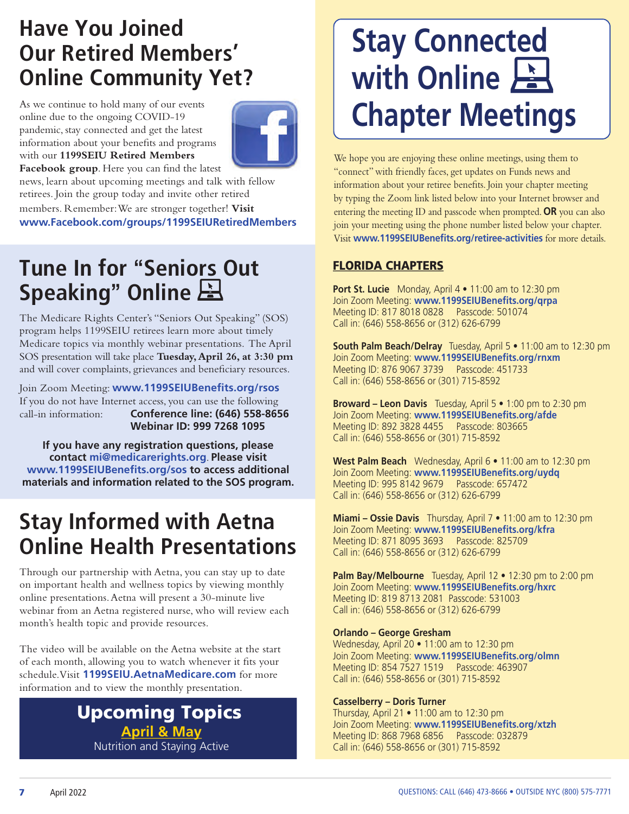### **Have You Joined Our Retired Members' Online Community Yet?**

As we continue to hold many of our events online due to the ongoing COVID-19 pandemic, stay connected and get the latest information about your benefits and programs with our **1199SEIU Retired Members Facebook group**. Here you can find the latest



news, learn about upcoming meetings and talk with fellow retirees. Join the group today and invite other retired

members. Remember: We are stronger together! **Visit www.Facebook.com/groups/1199SEIURetiredMembers**

### **Tune In for** "**Seniors Out Speaking**" **Online**

The Medicare Rights Center's "Seniors Out Speaking" (SOS) program helps 1199SEIU retirees learn more about timely Medicare topics via monthly webinar presentations. The April SOS presentation will take place **Tuesday, April 26, at 3:30 pm** and will cover complaints, grievances and beneficiary resources.

Join Zoom Meeting: **www.1199SEIUBenefits.org/rsos**  If you do not have Internet access, you can use the following call-in information: **Conference line: (646) 558-8656 Webinar ID: 999 7268 1095**

**If you have any registration questions, please contact mi@medicarerights.org**. **Please visit www.1199SEIUBenefits.org/sos to access additional materials and information related to the SOS program.**

# **Stay Informed with Aetna Online Health Presentations**

Through our partnership with Aetna, you can stay up to date on important health and wellness topics by viewing monthly online presentations. Aetna will present a 30-minute live webinar from an Aetna registered nurse, who will review each month's health topic and provide resources.

The video will be available on the Aetna website at the start of each month, allowing you to watch whenever it fits your schedule. Visit **1199SEIU.AetnaMedicare.com** for more information and to view the monthly presentation.

### **April & May** Nutrition and Staying Active Upcoming Topics

# **Stay Connected with Online Chapter Meetings**

We hope you are enjoying these online meetings, using them to "connect" with friendly faces, get updates on Funds news and information about your retiree benefits. Join your chapter meeting by typing the Zoom link listed below into your Internet browser and entering the meeting ID and passcode when prompted. **OR** you can also join your meeting using the phone number listed below your chapter. Visit **www.1199SEIUBenefits.org/retiree-activities** for more details.

### FLORIDA CHAPTERS

**Port St. Lucie** Monday, April 4 • 11:00 am to 12:30 pm Join Zoom Meeting: **www.1199SEIUBenefits.org/qrpa** Meeting ID: 817 8018 0828 Passcode: 501074 Call in: (646) 558-8656 or (312) 626-6799

**South Palm Beach/Delray** Tuesday, April 5 • 11:00 am to 12:30 pm Join Zoom Meeting: **www.1199SEIUBenefits.org/rnxm** Meeting ID: 876 9067 3739 Passcode: 451733 Call in: (646) 558-8656 or (301) 715-8592

**Broward – Leon Davis** Tuesday, April 5 • 1:00 pm to 2:30 pm Join Zoom Meeting: **www.1199SEIUBenefits.org/afde** Meeting ID: 892 3828 4455 Passcode: 803665 Call in: (646) 558-8656 or (301) 715-8592

**West Palm Beach** Wednesday, April 6 • 11:00 am to 12:30 pm Join Zoom Meeting: **www.1199SEIUBenefits.org/uydq** Meeting ID: 995 8142 9679 Passcode: 657472 Call in: (646) 558-8656 or (312) 626-6799

**Miami – Ossie Davis** Thursday, April 7 • 11:00 am to 12:30 pm Join Zoom Meeting: **www.1199SEIUBenefits.org/kfra** Meeting ID: 871 8095 3693 Passcode: 825709 Call in: (646) 558-8656 or (312) 626-6799

**Palm Bay/Melbourne** Tuesday, April 12 • 12:30 pm to 2:00 pm Join Zoom Meeting: **www.1199SEIUBenefits.org/hxrc** Meeting ID: 819 8713 2081 Passcode: 531003 Call in: (646) 558-8656 or (312) 626-6799

### **Orlando – George Gresham**

Wednesday, April 20 • 11:00 am to 12:30 pm Join Zoom Meeting: **www.1199SEIUBenefits.org/olmn** Meeting ID: 854 7527 1519 Passcode: 463907 Call in: (646) 558-8656 or (301) 715-8592

### **Casselberry – Doris Turner**

Thursday, April 21 • 11:00 am to 12:30 pm Join Zoom Meeting: **www.1199SEIUBenefits.org/xtzh** Meeting ID: 868 7968 6856 Passcode: 032879 Call in: (646) 558-8656 or (301) 715-8592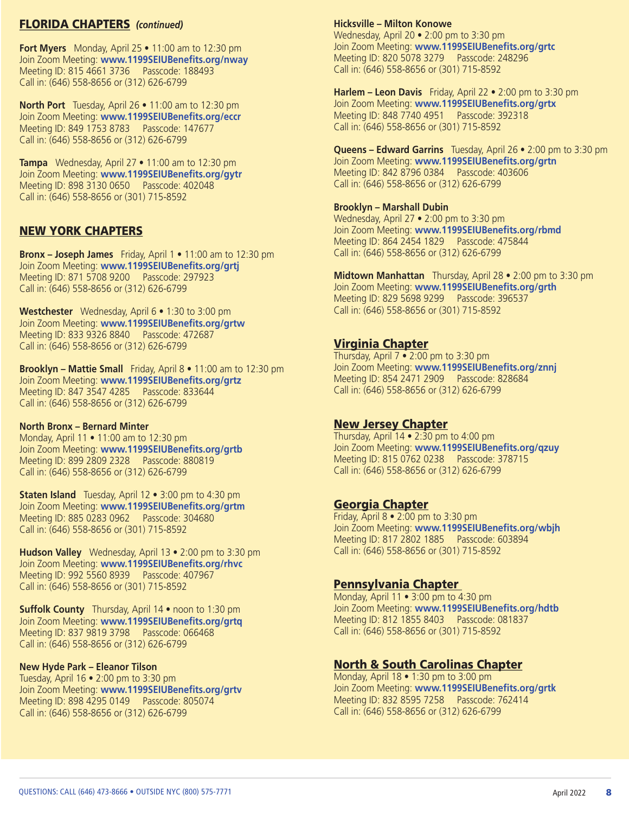#### FLORIDA CHAPTERS *(continued)*

**Fort Myers** Monday, April 25 • 11:00 am to 12:30 pm Join Zoom Meeting: **www.1199SEIUBenefits.org/nway** Meeting ID: 815 4661 3736 Passcode: 188493 Call in: (646) 558-8656 or (312) 626-6799

**North Port** Tuesday, April 26 • 11:00 am to 12:30 pm Join Zoom Meeting: **www.1199SEIUBenefits.org/eccr** Meeting ID: 849 1753 8783 Passcode: 147677 Call in: (646) 558-8656 or (312) 626-6799

**Tampa** Wednesday, April 27 • 11:00 am to 12:30 pm Join Zoom Meeting: **www.1199SEIUBenefits.org/gytr** Meeting ID: 898 3130 0650 Passcode: 402048 Call in: (646) 558-8656 or (301) 715-8592

#### NEW YORK CHAPTERS

**Bronx – Joseph James** Friday, April 1 • 11:00 am to 12:30 pm Join Zoom Meeting: **www.1199SEIUBenefits.org/grtj** Meeting ID: 871 5708 9200 Passcode: 297923 Call in: (646) 558-8656 or (312) 626-6799

**Westchester** Wednesday, April 6 • 1:30 to 3:00 pm Join Zoom Meeting: **www.1199SEIUBenefits.org/grtw**  Meeting ID: 833 9326 8840 Passcode: 472687 Call in: (646) 558-8656 or (312) 626-6799

**Brooklyn – Mattie Small** Friday, April 8 • 11:00 am to 12:30 pm Join Zoom Meeting: **www.1199SEIUBenefits.org/grtz** Meeting ID: 847 3547 4285 Passcode: 833644 Call in: (646) 558-8656 or (312) 626-6799

#### **North Bronx – Bernard Minter**

Monday, April 11 • 11:00 am to 12:30 pm Join Zoom Meeting: **www.1199SEIUBenefits.org/grtb**  Meeting ID: 899 2809 2328 Passcode: 880819 Call in: (646) 558-8656 or (312) 626-6799

**Staten Island** Tuesday, April 12 • 3:00 pm to 4:30 pm Join Zoom Meeting: **www.1199SEIUBenefits.org/grtm** Meeting ID: 885 0283 0962 Passcode: 304680 Call in: (646) 558-8656 or (301) 715-8592

**Hudson Valley** Wednesday, April 13 • 2:00 pm to 3:30 pm Join Zoom Meeting: **www.1199SEIUBenefits.org/rhvc** Meeting ID: 992 5560 8939 Passcode: 407967 Call in: (646) 558-8656 or (301) 715-8592

**Suffolk County** Thursday, April 14 • noon to 1:30 pm Join Zoom Meeting: **www.1199SEIUBenefits.org/grtq** Meeting ID: 837 9819 3798 Passcode: 066468 Call in: (646) 558-8656 or (312) 626-6799

#### **New Hyde Park – Eleanor Tilson**

Tuesday, April 16 • 2:00 pm to 3:30 pm Join Zoom Meeting: **www.1199SEIUBenefits.org/grtv** Meeting ID: 898 4295 0149 Passcode: 805074 Call in: (646) 558-8656 or (312) 626-6799

**Hicksville – Milton Konowe** 

Wednesday, April 20 • 2:00 pm to 3:30 pm Join Zoom Meeting: **www.1199SEIUBenefits.org/grtc** Meeting ID: 820 5078 3279 Passcode: 248296 Call in: (646) 558-8656 or (301) 715-8592

**Harlem – Leon Davis** Friday, April 22 • 2:00 pm to 3:30 pm Join Zoom Meeting: **www.1199SEIUBenefits.org/grtx** Meeting ID: 848 7740 4951 Passcode: 392318 Call in: (646) 558-8656 or (301) 715-8592

#### **Queens – Edward Garrins** Tuesday, April 26 • 2:00 pm to 3:30 pm Join Zoom Meeting: **www.1199SEIUBenefits.org/grtn**

Meeting ID: 842 8796 0384 Passcode: 403606 Call in: (646) 558-8656 or (312) 626-6799

#### **Brooklyn – Marshall Dubin**

Wednesday, April 27 • 2:00 pm to 3:30 pm Join Zoom Meeting: **www.1199SEIUBenefits.org/rbmd**  Meeting ID: 864 2454 1829 Passcode: 475844 Call in: (646) 558-8656 or (312) 626-6799

**Midtown Manhattan** Thursday, April 28 • 2:00 pm to 3:30 pm Join Zoom Meeting: **www.1199SEIUBenefits.org/grth**  Meeting ID: 829 5698 9299 Passcode: 396537 Call in: (646) 558-8656 or (301) 715-8592

#### Virginia Chapter

Thursday, April 7 • 2:00 pm to 3:30 pm Join Zoom Meeting: **www.1199SEIUBenefits.org/znnj** Meeting ID: 854 2471 2909 Passcode: 828684 Call in: (646) 558-8656 or (312) 626-6799

#### New Jersey Chapter

Thursday, April 14 • 2:30 pm to 4:00 pm Join Zoom Meeting: **www.1199SEIUBenefits.org/qzuy**  Meeting ID: 815 0762 0238 Passcode: 378715 Call in: (646) 558-8656 or (312) 626-6799

#### Georgia Chapter

Friday, April 8 • 2:00 pm to 3:30 pm Join Zoom Meeting: **www.1199SEIUBenefits.org/wbjh** Meeting ID: 817 2802 1885 Passcode: 603894 Call in: (646) 558-8656 or (301) 715-8592

#### Pennsylvania Chapter

Monday, April 11 • 3:00 pm to 4:30 pm Join Zoom Meeting: **www.1199SEIUBenefits.org/hdtb** Meeting ID: 812 1855 8403 Passcode: 081837 Call in: (646) 558-8656 or (301) 715-8592

#### North & South Carolinas Chapter

Monday, April 18 • 1:30 pm to 3:00 pm Join Zoom Meeting: **www.1199SEIUBenefits.org/grtk** Meeting ID: 832 8595 7258 Passcode: 762414 Call in: (646) 558-8656 or (312) 626-6799